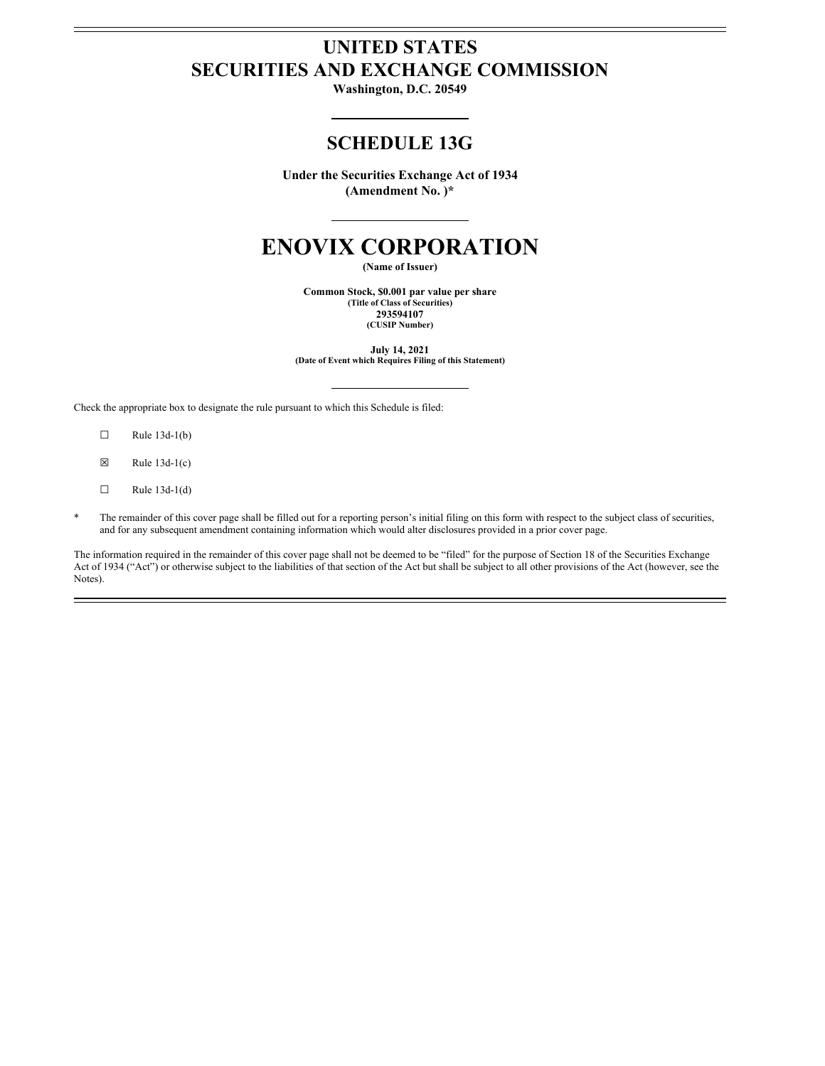# **UNITED STATES SECURITIES AND EXCHANGE COMMISSION**

**Washington, D.C. 20549**

# **SCHEDULE 13G**

**Under the Securities Exchange Act of 1934 (Amendment No. )\***

# **ENOVIX CORPORATION**

**(Name of Issuer)**

**Common Stock, \$0.001 par value per share (Title of Class of Securities) 293594107 (CUSIP Number)**

**July 14, 2021 (Date of Event which Requires Filing of this Statement)**

Check the appropriate box to designate the rule pursuant to which this Schedule is filed:

- $\Box$  Rule 13d-1(b)
- $\boxtimes$  Rule 13d-1(c)
- $\Box$  Rule 13d-1(d)
- The remainder of this cover page shall be filled out for a reporting person's initial filing on this form with respect to the subject class of securities, and for any subsequent amendment containing information which would alter disclosures provided in a prior cover page.

The information required in the remainder of this cover page shall not be deemed to be "filed" for the purpose of Section 18 of the Securities Exchange Act of 1934 ("Act") or otherwise subject to the liabilities of that section of the Act but shall be subject to all other provisions of the Act (however, see the Notes).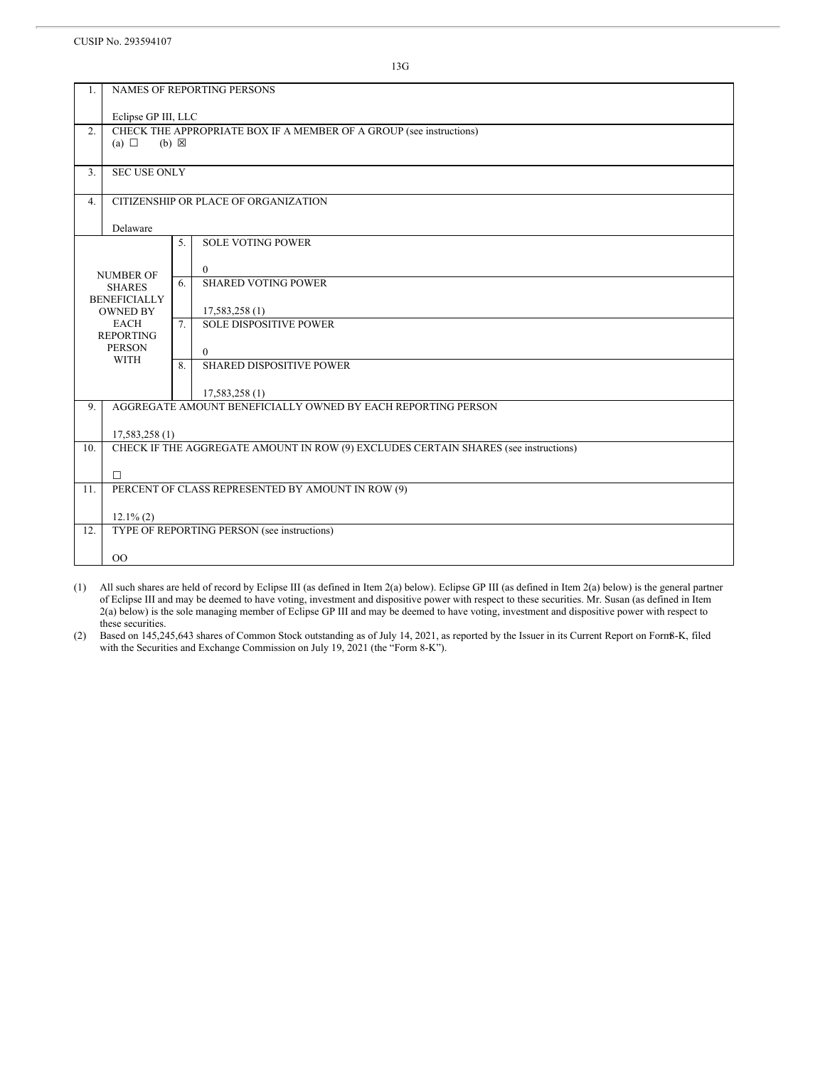#### CUSIP No. 293594107

13G

| NAMES OF REPORTING PERSONS<br>1. |                                                                                                      |    |                                                   |  |  |  |  |  |
|----------------------------------|------------------------------------------------------------------------------------------------------|----|---------------------------------------------------|--|--|--|--|--|
|                                  | Eclipse GP III, LLC                                                                                  |    |                                                   |  |  |  |  |  |
| 2.                               | CHECK THE APPROPRIATE BOX IF A MEMBER OF A GROUP (see instructions)<br>(a) $\Box$<br>$(b) \boxtimes$ |    |                                                   |  |  |  |  |  |
| 3.                               | <b>SEC USE ONLY</b>                                                                                  |    |                                                   |  |  |  |  |  |
|                                  |                                                                                                      |    |                                                   |  |  |  |  |  |
| 4.                               | CITIZENSHIP OR PLACE OF ORGANIZATION                                                                 |    |                                                   |  |  |  |  |  |
| Delaware                         |                                                                                                      |    |                                                   |  |  |  |  |  |
|                                  |                                                                                                      | 5. | <b>SOLE VOTING POWER</b>                          |  |  |  |  |  |
|                                  |                                                                                                      |    | $\overline{0}$                                    |  |  |  |  |  |
|                                  | <b>NUMBER OF</b><br><b>SHARES</b>                                                                    |    | <b>SHARED VOTING POWER</b>                        |  |  |  |  |  |
|                                  | <b>BENEFICIALLY</b>                                                                                  |    |                                                   |  |  |  |  |  |
|                                  | <b>OWNED BY</b><br><b>EACH</b>                                                                       | 7. | 17,583,258(1)<br><b>SOLE DISPOSITIVE POWER</b>    |  |  |  |  |  |
|                                  | <b>REPORTING</b>                                                                                     |    |                                                   |  |  |  |  |  |
|                                  | <b>PERSON</b>                                                                                        |    | $\theta$                                          |  |  |  |  |  |
|                                  | <b>WITH</b>                                                                                          |    | <b>SHARED DISPOSITIVE POWER</b>                   |  |  |  |  |  |
|                                  |                                                                                                      |    | 17,583,258 (1)                                    |  |  |  |  |  |
| 9.                               | AGGREGATE AMOUNT BENEFICIALLY OWNED BY EACH REPORTING PERSON                                         |    |                                                   |  |  |  |  |  |
|                                  |                                                                                                      |    |                                                   |  |  |  |  |  |
| 10.                              | 17,583,258(1)<br>CHECK IF THE AGGREGATE AMOUNT IN ROW (9) EXCLUDES CERTAIN SHARES (see instructions) |    |                                                   |  |  |  |  |  |
|                                  |                                                                                                      |    |                                                   |  |  |  |  |  |
|                                  | $\Box$                                                                                               |    |                                                   |  |  |  |  |  |
| 11.                              |                                                                                                      |    | PERCENT OF CLASS REPRESENTED BY AMOUNT IN ROW (9) |  |  |  |  |  |
|                                  | $12.1\%$ (2)                                                                                         |    |                                                   |  |  |  |  |  |
| 12.                              | TYPE OF REPORTING PERSON (see instructions)                                                          |    |                                                   |  |  |  |  |  |
|                                  | 00                                                                                                   |    |                                                   |  |  |  |  |  |
|                                  |                                                                                                      |    |                                                   |  |  |  |  |  |

(1) All such shares are held of record by Eclipse III (as defined in Item 2(a) below). Eclipse GP III (as defined in Item 2(a) below) is the general partner of Eclipse III and may be deemed to have voting, investment and dispositive power with respect to these securities. Mr. Susan (as defined in Item 2(a) below) is the sole managing member of Eclipse GP III and may be deemed to have voting, investment and dispositive power with respect to these securities.

(2) Based on 145,245,643 shares of Common Stock outstanding as of July 14, 2021, as reported by the Issuer in its Current Report on Form8-K, filed with the Securities and Exchange Commission on July 19, 2021 (the "Form 8-K").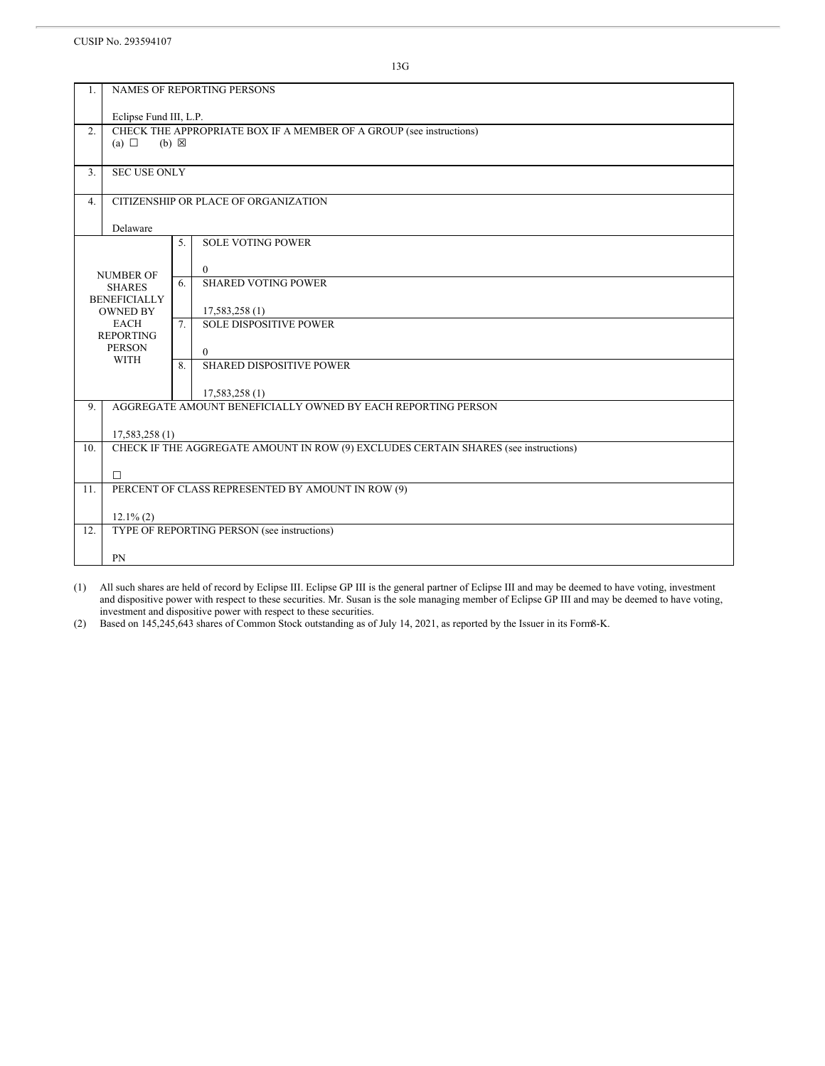CUSIP No. 293594107

13G

| 1.                                                              |                                                                                                           |    | <b>NAMES OF REPORTING PERSONS</b> |  |  |  |  |  |
|-----------------------------------------------------------------|-----------------------------------------------------------------------------------------------------------|----|-----------------------------------|--|--|--|--|--|
|                                                                 | Eclipse Fund III, L.P.                                                                                    |    |                                   |  |  |  |  |  |
| 2.                                                              | CHECK THE APPROPRIATE BOX IF A MEMBER OF A GROUP (see instructions)<br>$(a)$ $\square$<br>$(b) \boxtimes$ |    |                                   |  |  |  |  |  |
| 3.                                                              | <b>SEC USE ONLY</b>                                                                                       |    |                                   |  |  |  |  |  |
| 4.                                                              | CITIZENSHIP OR PLACE OF ORGANIZATION                                                                      |    |                                   |  |  |  |  |  |
| Delaware                                                        |                                                                                                           |    |                                   |  |  |  |  |  |
|                                                                 |                                                                                                           | 5. | <b>SOLE VOTING POWER</b>          |  |  |  |  |  |
|                                                                 |                                                                                                           |    | $\overline{0}$                    |  |  |  |  |  |
|                                                                 | <b>NUMBER OF</b><br><b>SHARES</b>                                                                         | 6. | <b>SHARED VOTING POWER</b>        |  |  |  |  |  |
|                                                                 | <b>BENEFICIALLY</b><br><b>OWNED BY</b>                                                                    |    | 17,583,258 (1)                    |  |  |  |  |  |
| <b>EACH</b><br><b>REPORTING</b><br><b>PERSON</b><br><b>WITH</b> |                                                                                                           | 7. | <b>SOLE DISPOSITIVE POWER</b>     |  |  |  |  |  |
|                                                                 |                                                                                                           |    | $\Omega$                          |  |  |  |  |  |
|                                                                 |                                                                                                           | 8. | <b>SHARED DISPOSITIVE POWER</b>   |  |  |  |  |  |
|                                                                 |                                                                                                           |    | 17,583,258 (1)                    |  |  |  |  |  |
| 9.                                                              | AGGREGATE AMOUNT BENEFICIALLY OWNED BY EACH REPORTING PERSON                                              |    |                                   |  |  |  |  |  |
|                                                                 | 17,583,258 (1)                                                                                            |    |                                   |  |  |  |  |  |
| 10.                                                             | CHECK IF THE AGGREGATE AMOUNT IN ROW (9) EXCLUDES CERTAIN SHARES (see instructions)                       |    |                                   |  |  |  |  |  |
|                                                                 | $\Box$                                                                                                    |    |                                   |  |  |  |  |  |
| 11.                                                             | PERCENT OF CLASS REPRESENTED BY AMOUNT IN ROW (9)                                                         |    |                                   |  |  |  |  |  |
|                                                                 | $12.1\%$ (2)                                                                                              |    |                                   |  |  |  |  |  |
| 12.                                                             | TYPE OF REPORTING PERSON (see instructions)                                                               |    |                                   |  |  |  |  |  |
|                                                                 | PN                                                                                                        |    |                                   |  |  |  |  |  |
|                                                                 |                                                                                                           |    |                                   |  |  |  |  |  |

(1) All such shares are held of record by Eclipse III. Eclipse GP III is the general partner of Eclipse III and may be deemed to have voting, investment and dispositive power with respect to these securities. Mr. Susan is the sole managing member of Eclipse GP III and may be deemed to have voting, investment and dispositive power with respect to these securities.

(2) Based on 145,245,643 shares of Common Stock outstanding as of July 14, 2021, as reported by the Issuer in its Form8-K.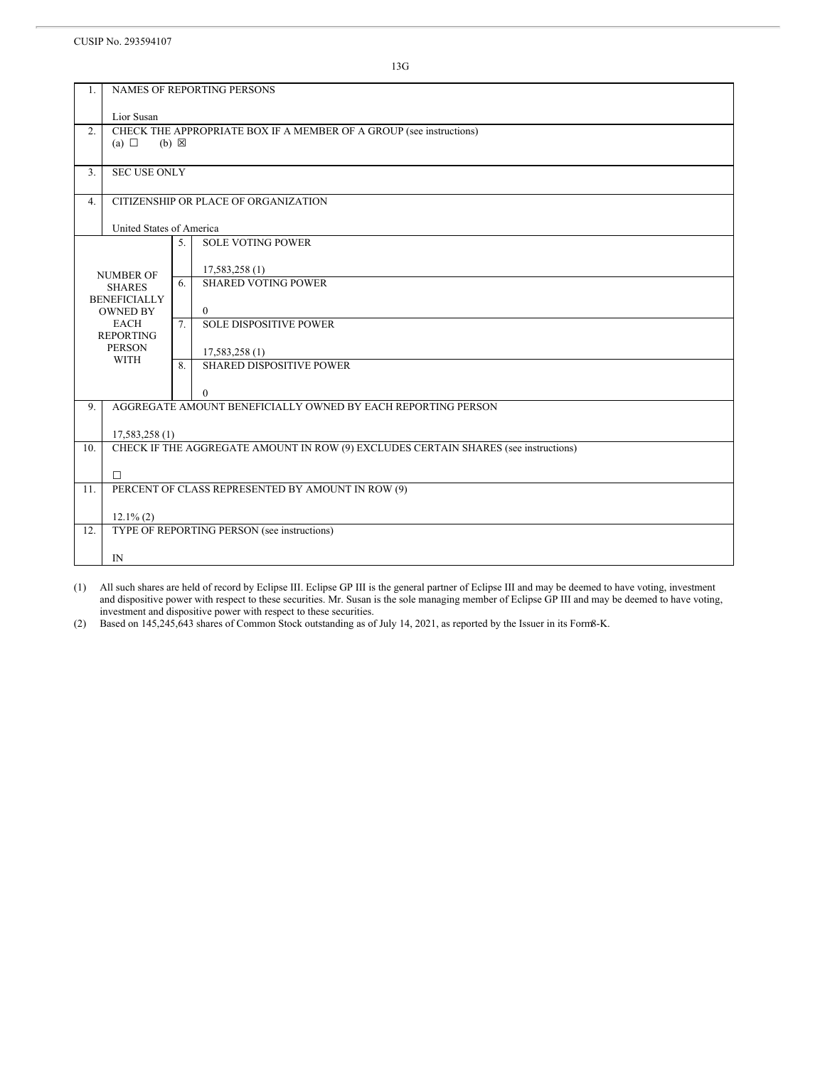CUSIP No. 293594107

13G

| 1.                       | NAMES OF REPORTING PERSONS                                                          |    |                                                 |  |  |  |  |
|--------------------------|-------------------------------------------------------------------------------------|----|-------------------------------------------------|--|--|--|--|
|                          | Lior Susan                                                                          |    |                                                 |  |  |  |  |
| 2.                       | CHECK THE APPROPRIATE BOX IF A MEMBER OF A GROUP (see instructions)                 |    |                                                 |  |  |  |  |
|                          | (a) $\Box$<br>$(b) \boxtimes$                                                       |    |                                                 |  |  |  |  |
| 3.                       | <b>SEC USE ONLY</b>                                                                 |    |                                                 |  |  |  |  |
|                          |                                                                                     |    |                                                 |  |  |  |  |
| 4.                       | CITIZENSHIP OR PLACE OF ORGANIZATION                                                |    |                                                 |  |  |  |  |
| United States of America |                                                                                     |    |                                                 |  |  |  |  |
|                          |                                                                                     | 5. | <b>SOLE VOTING POWER</b>                        |  |  |  |  |
|                          |                                                                                     |    | 17,583,258(1)                                   |  |  |  |  |
|                          | <b>NUMBER OF</b><br><b>SHARES</b><br><b>BENEFICIALLY</b>                            |    | <b>SHARED VOTING POWER</b>                      |  |  |  |  |
|                          |                                                                                     |    |                                                 |  |  |  |  |
|                          | <b>OWNED BY</b><br><b>EACH</b>                                                      | 7. | $\overline{0}$<br><b>SOLE DISPOSITIVE POWER</b> |  |  |  |  |
|                          | <b>REPORTING</b>                                                                    |    |                                                 |  |  |  |  |
|                          | <b>PERSON</b><br><b>WITH</b>                                                        |    | 17,583,258(1)                                   |  |  |  |  |
|                          |                                                                                     | 8. | <b>SHARED DISPOSITIVE POWER</b>                 |  |  |  |  |
|                          |                                                                                     |    | $\mathbf{0}$                                    |  |  |  |  |
| 9.                       | AGGREGATE AMOUNT BENEFICIALLY OWNED BY EACH REPORTING PERSON                        |    |                                                 |  |  |  |  |
|                          | 17,583,258 (1)                                                                      |    |                                                 |  |  |  |  |
| 10.                      | CHECK IF THE AGGREGATE AMOUNT IN ROW (9) EXCLUDES CERTAIN SHARES (see instructions) |    |                                                 |  |  |  |  |
|                          |                                                                                     |    |                                                 |  |  |  |  |
| 11.                      | $\Box$<br>PERCENT OF CLASS REPRESENTED BY AMOUNT IN ROW (9)                         |    |                                                 |  |  |  |  |
|                          |                                                                                     |    |                                                 |  |  |  |  |
| 12.                      | $12.1\%$ (2)                                                                        |    |                                                 |  |  |  |  |
|                          | TYPE OF REPORTING PERSON (see instructions)                                         |    |                                                 |  |  |  |  |
|                          | $\mathbb{N}$                                                                        |    |                                                 |  |  |  |  |

(1) All such shares are held of record by Eclipse III. Eclipse GP III is the general partner of Eclipse III and may be deemed to have voting, investment and dispositive power with respect to these securities. Mr. Susan is the sole managing member of Eclipse GP III and may be deemed to have voting, investment and dispositive power with respect to these securities.

(2) Based on 145,245,643 shares of Common Stock outstanding as of July 14, 2021, as reported by the Issuer in its Form8-K.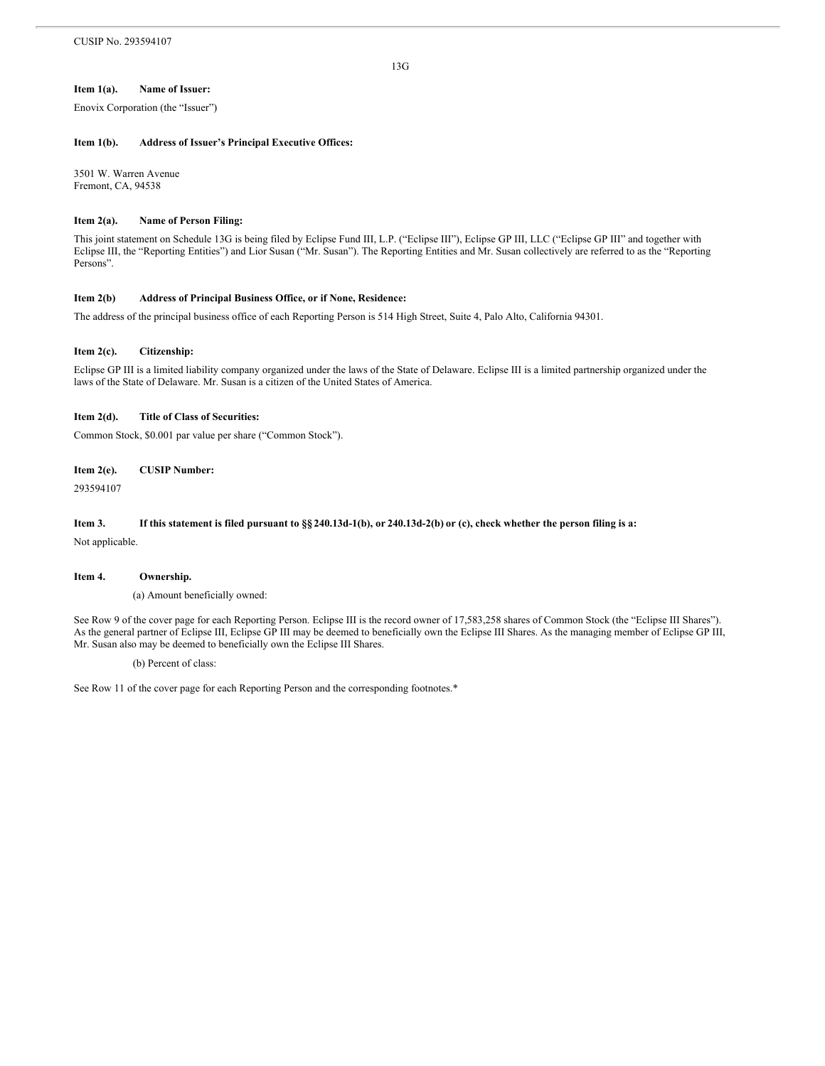#### **Item 1(a). Name of Issuer:**

Enovix Corporation (the "Issuer")

#### **Item 1(b). Address of Issuer's Principal Executive Offices:**

3501 W. Warren Avenue Fremont, CA, 94538

#### **Item 2(a). Name of Person Filing:**

This joint statement on Schedule 13G is being filed by Eclipse Fund III, L.P. ("Eclipse III"), Eclipse GP III, LLC ("Eclipse GP III" and together with Eclipse III, the "Reporting Entities") and Lior Susan ("Mr. Susan"). The Reporting Entities and Mr. Susan collectively are referred to as the "Reporting Persons".

## **Item 2(b) Address of Principal Business Office, or if None, Residence:**

The address of the principal business office of each Reporting Person is 514 High Street, Suite 4, Palo Alto, California 94301.

### **Item 2(c). Citizenship:**

Eclipse GP III is a limited liability company organized under the laws of the State of Delaware. Eclipse III is a limited partnership organized under the laws of the State of Delaware. Mr. Susan is a citizen of the United States of America.

### **Item 2(d). Title of Class of Securities:**

Common Stock, \$0.001 par value per share ("Common Stock").

#### **Item 2(e). CUSIP Number:**

293594107

# Item 3. If this statement is filed pursuant to §§ 240.13d-1(b), or 240.13d-2(b) or (c), check whether the person filing is a:

Not applicable.

### **Item 4. Ownership.**

(a) Amount beneficially owned:

See Row 9 of the cover page for each Reporting Person. Eclipse III is the record owner of 17,583,258 shares of Common Stock (the "Eclipse III Shares"). As the general partner of Eclipse III, Eclipse GP III may be deemed to beneficially own the Eclipse III Shares. As the managing member of Eclipse GP III, Mr. Susan also may be deemed to beneficially own the Eclipse III Shares.

(b) Percent of class:

See Row 11 of the cover page for each Reporting Person and the corresponding footnotes.\*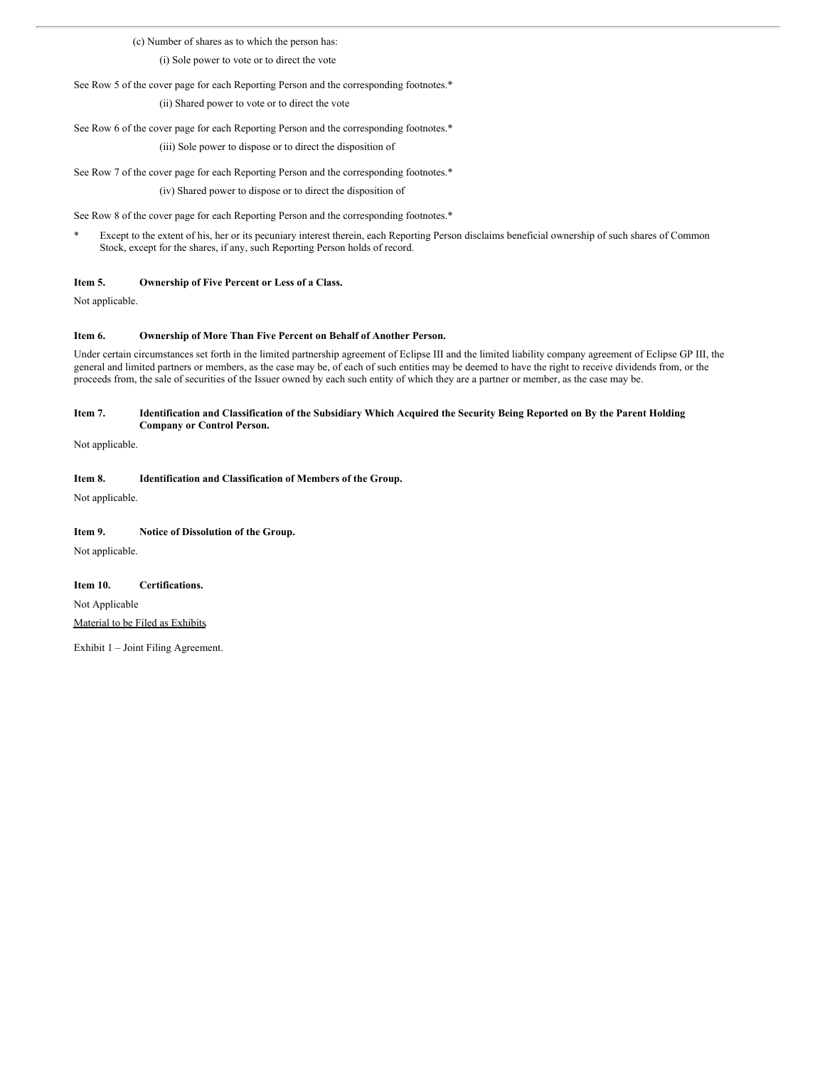(c) Number of shares as to which the person has:

(i) Sole power to vote or to direct the vote

See Row 5 of the cover page for each Reporting Person and the corresponding footnotes.\*

(ii) Shared power to vote or to direct the vote

See Row 6 of the cover page for each Reporting Person and the corresponding footnotes.\* (iii) Sole power to dispose or to direct the disposition of

See Row 7 of the cover page for each Reporting Person and the corresponding footnotes.\* (iv) Shared power to dispose or to direct the disposition of

See Row 8 of the cover page for each Reporting Person and the corresponding footnotes.\*

\* Except to the extent of his, her or its pecuniary interest therein, each Reporting Person disclaims beneficial ownership of such shares of Common Stock, except for the shares, if any, such Reporting Person holds of record.

# **Item 5. Ownership of Five Percent or Less of a Class.**

Not applicable.

# **Item 6. Ownership of More Than Five Percent on Behalf of Another Person.**

Under certain circumstances set forth in the limited partnership agreement of Eclipse III and the limited liability company agreement of Eclipse GP III, the general and limited partners or members, as the case may be, of each of such entities may be deemed to have the right to receive dividends from, or the proceeds from, the sale of securities of the Issuer owned by each such entity of which they are a partner or member, as the case may be.

# Item 7. Identification and Classification of the Subsidiary Which Acquired the Security Being Reported on By the Parent Holding **Company or Control Person.**

Not applicable.

# **Item 8. Identification and Classification of Members of the Group.**

Not applicable.

# **Item 9. Notice of Dissolution of the Group.**

Not applicable.

### **Item 10. Certifications.**

Not Applicable Material to be Filed as Exhibits.

Exhibit 1 – Joint Filing Agreement.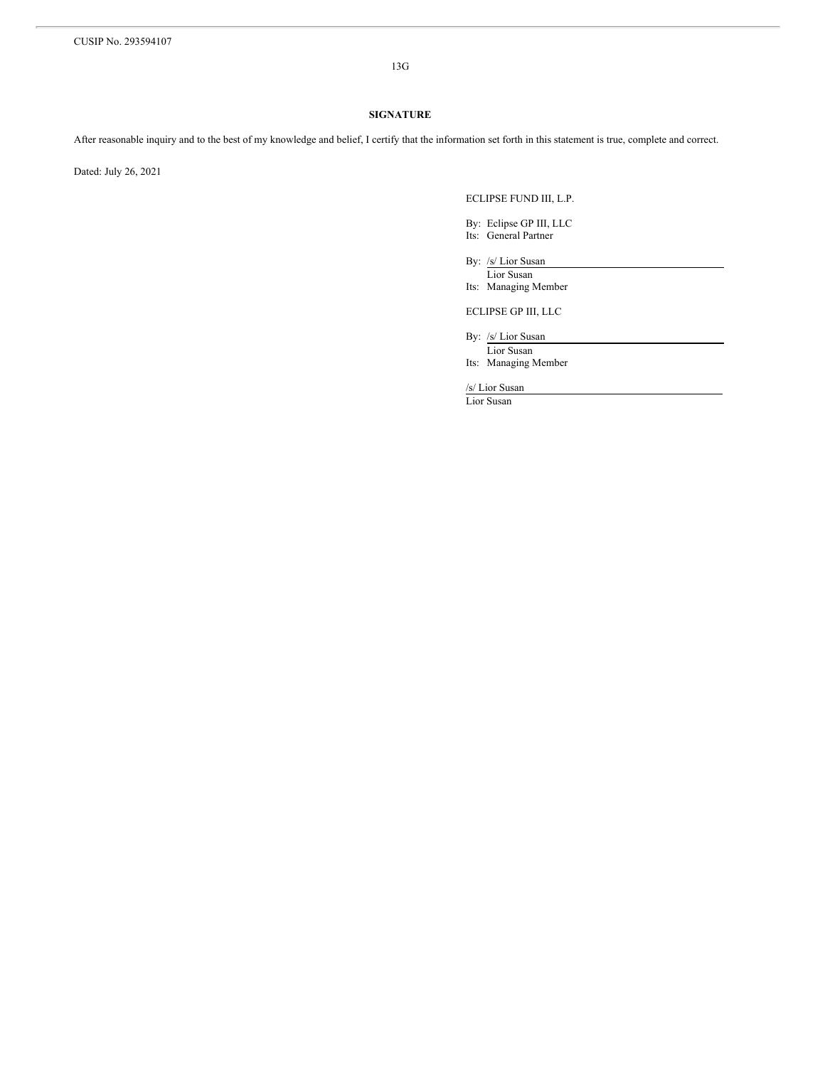13G

# **SIGNATURE**

After reasonable inquiry and to the best of my knowledge and belief, I certify that the information set forth in this statement is true, complete and correct.

Dated: July 26, 2021

ECLIPSE FUND III, L.P.

By: Eclipse GP III, LLC Its: General Partner

By: /s/ Lior Susan

Lior Susan Its: Managing Member

ECLIPSE GP III, LLC

By: /s/ Lior Susan

Lior Susan Its: Managing Member

/s/ Lior Susan

Lior Susan